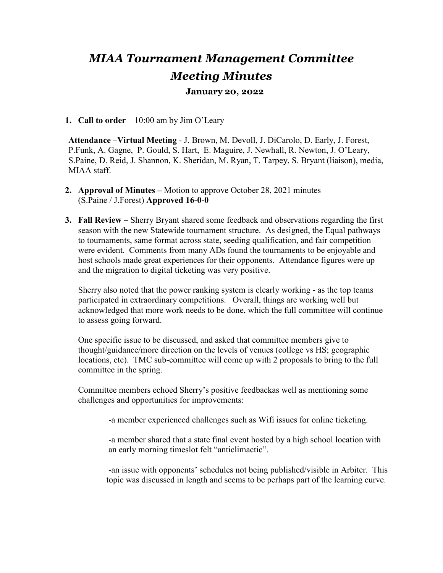# *MIAA Tournament Management Committee Meeting Minutes*

## **January 20, 2022**

#### **1. Call to order** – 10:00 am by Jim O'Leary

**Attendance** –**Virtual Meeting** - J. Brown, M. Devoll, J. DiCarolo, D. Early, J. Forest, P.Funk, A. Gagne, P. Gould, S. Hart, E. Maguire, J. Newhall, R. Newton, J. O'Leary, S.Paine, D. Reid, J. Shannon, K. Sheridan, M. Ryan, T. Tarpey, S. Bryant (liaison), media, MIAA staff.

- **2. Approval of Minutes –** Motion to approve October 28, 2021 minutes (S.Paine / J.Forest) **Approved 16-0-0**
- **3. Fall Review –** Sherry Bryant shared some feedback and observations regarding the first season with the new Statewide tournament structure. As designed, the Equal pathways to tournaments, same format across state, seeding qualification, and fair competition were evident. Comments from many ADs found the tournaments to be enjoyable and host schools made great experiences for their opponents. Attendance figures were up and the migration to digital ticketing was very positive.

Sherry also noted that the power ranking system is clearly working - as the top teams participated in extraordinary competitions. Overall, things are working well but acknowledged that more work needs to be done, which the full committee will continue to assess going forward.

One specific issue to be discussed, and asked that committee members give to thought/guidance/more direction on the levels of venues (college vs HS; geographic locations, etc). TMC sub-committee will come up with 2 proposals to bring to the full committee in the spring.

Committee members echoed Sherry's positive feedbackas well as mentioning some challenges and opportunities for improvements:

-a member experienced challenges such as Wifi issues for online ticketing.

-a member shared that a state final event hosted by a high school location with an early morning timeslot felt "anticlimactic".

-an issue with opponents' schedules not being published/visible in Arbiter. This topic was discussed in length and seems to be perhaps part of the learning curve.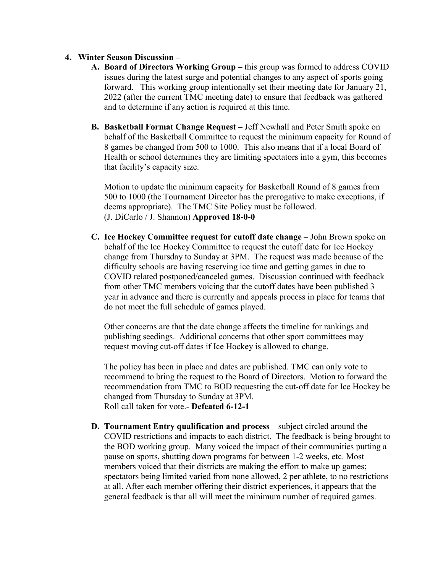#### **4. Winter Season Discussion –**

- **A. Board of Directors Working Group –** this group was formed to address COVID issues during the latest surge and potential changes to any aspect of sports going forward. This working group intentionally set their meeting date for January 21, 2022 (after the current TMC meeting date) to ensure that feedback was gathered and to determine if any action is required at this time.
- **B. Basketball Format Change Request –** Jeff Newhall and Peter Smith spoke on behalf of the Basketball Committee to request the minimum capacity for Round of 8 games be changed from 500 to 1000. This also means that if a local Board of Health or school determines they are limiting spectators into a gym, this becomes that facility's capacity size.

Motion to update the minimum capacity for Basketball Round of 8 games from 500 to 1000 (the Tournament Director has the prerogative to make exceptions, if deems appropriate). The TMC Site Policy must be followed. (J. DiCarlo / J. Shannon) **Approved 18-0-0**

**C. Ice Hockey Committee request for cutoff date change** – John Brown spoke on behalf of the Ice Hockey Committee to request the cutoff date for Ice Hockey change from Thursday to Sunday at 3PM. The request was made because of the difficulty schools are having reserving ice time and getting games in due to COVID related postponed/canceled games. Discussion continued with feedback from other TMC members voicing that the cutoff dates have been published 3 year in advance and there is currently and appeals process in place for teams that do not meet the full schedule of games played.

Other concerns are that the date change affects the timeline for rankings and publishing seedings. Additional concerns that other sport committees may request moving cut-off dates if Ice Hockey is allowed to change.

The policy has been in place and dates are published. TMC can only vote to recommend to bring the request to the Board of Directors. Motion to forward the recommendation from TMC to BOD requesting the cut-off date for Ice Hockey be changed from Thursday to Sunday at 3PM. Roll call taken for vote.- **Defeated 6-12-1**

**D. Tournament Entry qualification and process** – subject circled around the COVID restrictions and impacts to each district. The feedback is being brought to the BOD working group. Many voiced the impact of their communities putting a pause on sports, shutting down programs for between 1-2 weeks, etc. Most members voiced that their districts are making the effort to make up games; spectators being limited varied from none allowed, 2 per athlete, to no restrictions at all. After each member offering their district experiences, it appears that the general feedback is that all will meet the minimum number of required games.